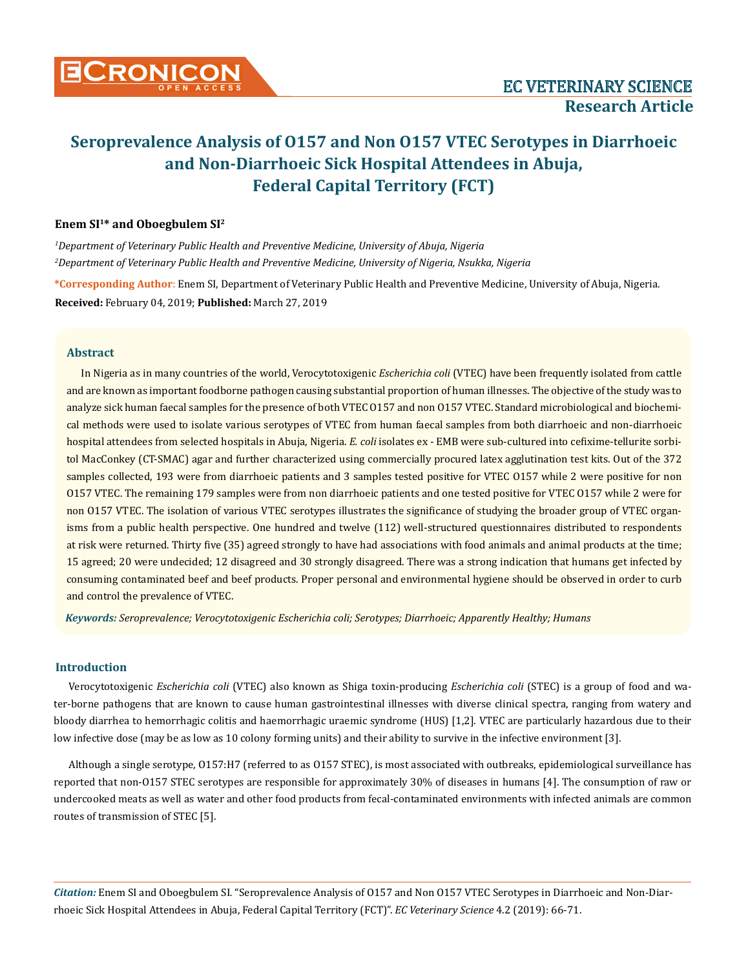## **Enem SI1\* and Oboegbulem SI2**

*1 Department of Veterinary Public Health and Preventive Medicine, University of Abuja, Nigeria 2 Department of Veterinary Public Health and Preventive Medicine, University of Nigeria, Nsukka, Nigeria* **\*Corresponding Author**: Enem SI, Department of Veterinary Public Health and Preventive Medicine, University of Abuja, Nigeria. **Received:** February 04, 2019; **Published:** March 27, 2019

## **Abstract**

In Nigeria as in many countries of the world, Verocytotoxigenic *Escherichia coli* (VTEC) have been frequently isolated from cattle and are known as important foodborne pathogen causing substantial proportion of human illnesses. The objective of the study was to analyze sick human faecal samples for the presence of both VTEC O157 and non O157 VTEC. Standard microbiological and biochemical methods were used to isolate various serotypes of VTEC from human faecal samples from both diarrhoeic and non-diarrhoeic hospital attendees from selected hospitals in Abuja, Nigeria. *E. coli* isolates ex - EMB were sub-cultured into cefixime-tellurite sorbitol MacConkey (CT-SMAC) agar and further characterized using commercially procured latex agglutination test kits. Out of the 372 samples collected, 193 were from diarrhoeic patients and 3 samples tested positive for VTEC O157 while 2 were positive for non O157 VTEC. The remaining 179 samples were from non diarrhoeic patients and one tested positive for VTEC O157 while 2 were for non O157 VTEC. The isolation of various VTEC serotypes illustrates the significance of studying the broader group of VTEC organisms from a public health perspective. One hundred and twelve (112) well-structured questionnaires distributed to respondents at risk were returned. Thirty five (35) agreed strongly to have had associations with food animals and animal products at the time; 15 agreed; 20 were undecided; 12 disagreed and 30 strongly disagreed. There was a strong indication that humans get infected by consuming contaminated beef and beef products. Proper personal and environmental hygiene should be observed in order to curb and control the prevalence of VTEC.

*Keywords: Seroprevalence; Verocytotoxigenic Escherichia coli; Serotypes; Diarrhoeic; Apparently Healthy; Humans*

#### **Introduction**

Verocytotoxigenic *Escherichia coli* (VTEC) also known as Shiga toxin-producing *Escherichia coli* (STEC) is a group of food and water-borne pathogens that are known to cause human gastrointestinal illnesses with diverse clinical spectra, ranging from watery and bloody diarrhea to hemorrhagic colitis and haemorrhagic uraemic syndrome (HUS) [1,2]. VTEC are particularly hazardous due to their low infective dose (may be as low as 10 colony forming units) and their ability to survive in the infective environment [3].

Although a single serotype, O157:H7 (referred to as O157 STEC), is most associated with outbreaks, epidemiological surveillance has reported that non-O157 STEC serotypes are responsible for approximately 30% of diseases in humans [4]. The consumption of raw or undercooked meats as well as water and other food products from fecal-contaminated environments with infected animals are common routes of transmission of STEC [5].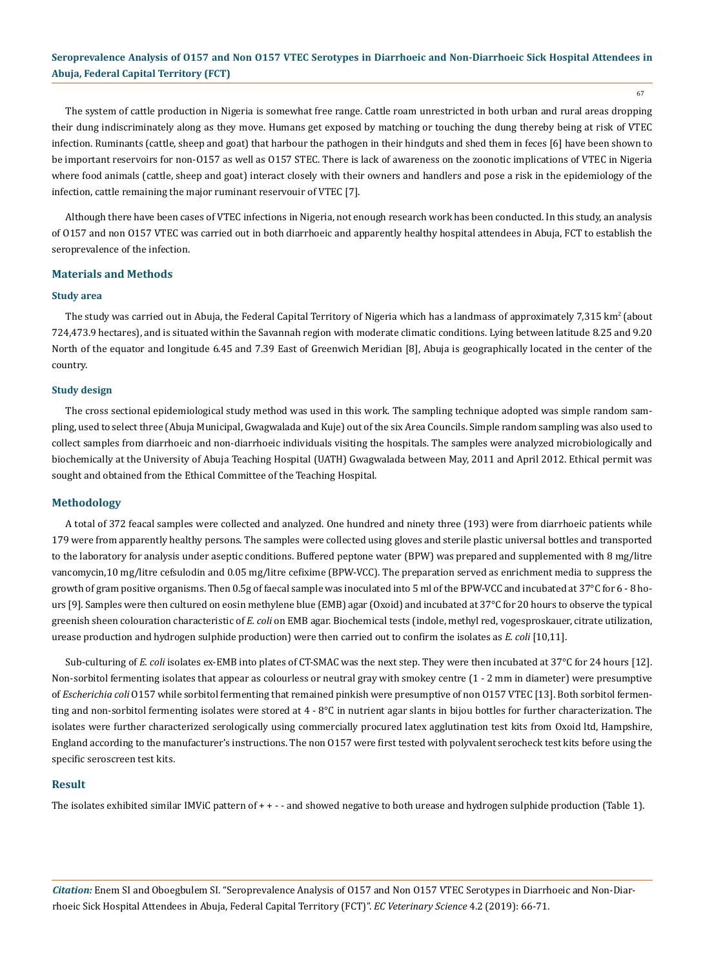67

The system of cattle production in Nigeria is somewhat free range. Cattle roam unrestricted in both urban and rural areas dropping their dung indiscriminately along as they move. Humans get exposed by matching or touching the dung thereby being at risk of VTEC infection. Ruminants (cattle, sheep and goat) that harbour the pathogen in their hindguts and shed them in feces [6] have been shown to be important reservoirs for non-O157 as well as O157 STEC. There is lack of awareness on the zoonotic implications of VTEC in Nigeria where food animals (cattle, sheep and goat) interact closely with their owners and handlers and pose a risk in the epidemiology of the infection, cattle remaining the major ruminant reservouir of VTEC [7].

Although there have been cases of VTEC infections in Nigeria, not enough research work has been conducted. In this study, an analysis of O157 and non O157 VTEC was carried out in both diarrhoeic and apparently healthy hospital attendees in Abuja, FCT to establish the seroprevalence of the infection.

## **Materials and Methods**

#### **Study area**

The study was carried out in Abuja, the Federal Capital Territory of Nigeria which has a landmass of approximately 7,315 km<sup>2</sup> (about 724,473.9 hectares), and is situated within the Savannah region with moderate climatic conditions. Lying between latitude 8.25 and 9.20 North of the equator and longitude 6.45 and 7.39 East of Greenwich Meridian [8], Abuja is geographically located in the center of the country.

#### **Study design**

The cross sectional epidemiological study method was used in this work. The sampling technique adopted was simple random sampling, used to select three (Abuja Municipal, Gwagwalada and Kuje) out of the six Area Councils. Simple random sampling was also used to collect samples from diarrhoeic and non-diarrhoeic individuals visiting the hospitals. The samples were analyzed microbiologically and biochemically at the University of Abuja Teaching Hospital (UATH) Gwagwalada between May, 2011 and April 2012. Ethical permit was sought and obtained from the Ethical Committee of the Teaching Hospital.

#### **Methodology**

A total of 372 feacal samples were collected and analyzed. One hundred and ninety three (193) were from diarrhoeic patients while 179 were from apparently healthy persons. The samples were collected using gloves and sterile plastic universal bottles and transported to the laboratory for analysis under aseptic conditions. Buffered peptone water (BPW) was prepared and supplemented with 8 mg/litre vancomycin,10 mg/litre cefsulodin and 0.05 mg/litre cefixime (BPW-VCC). The preparation served as enrichment media to suppress the growth of gram positive organisms. Then 0.5g of faecal sample was inoculated into 5 ml of the BPW-VCC and incubated at 37°C for 6 - 8 hours [9]. Samples were then cultured on eosin methylene blue (EMB) agar (Oxoid) and incubated at 37°C for 20 hours to observe the typical greenish sheen colouration characteristic of *E. coli* on EMB agar. Biochemical tests (indole, methyl red, vogesproskauer, citrate utilization, urease production and hydrogen sulphide production) were then carried out to confirm the isolates as *E. coli* [10,11].

Sub-culturing of *E. coli* isolates ex-EMB into plates of CT-SMAC was the next step. They were then incubated at 37°C for 24 hours [12]. Non-sorbitol fermenting isolates that appear as colourless or neutral gray with smokey centre (1 - 2 mm in diameter) were presumptive of *Escherichia coli* O157 while sorbitol fermenting that remained pinkish were presumptive of non O157 VTEC [13]. Both sorbitol fermenting and non-sorbitol fermenting isolates were stored at  $4 - 8$ °C in nutrient agar slants in bijou bottles for further characterization. The isolates were further characterized serologically using commercially procured latex agglutination test kits from Oxoid ltd, Hampshire, England according to the manufacturer's instructions. The non O157 were first tested with polyvalent serocheck test kits before using the specific seroscreen test kits.

#### **Result**

The isolates exhibited similar IMViC pattern of + + - - and showed negative to both urease and hydrogen sulphide production (Table 1).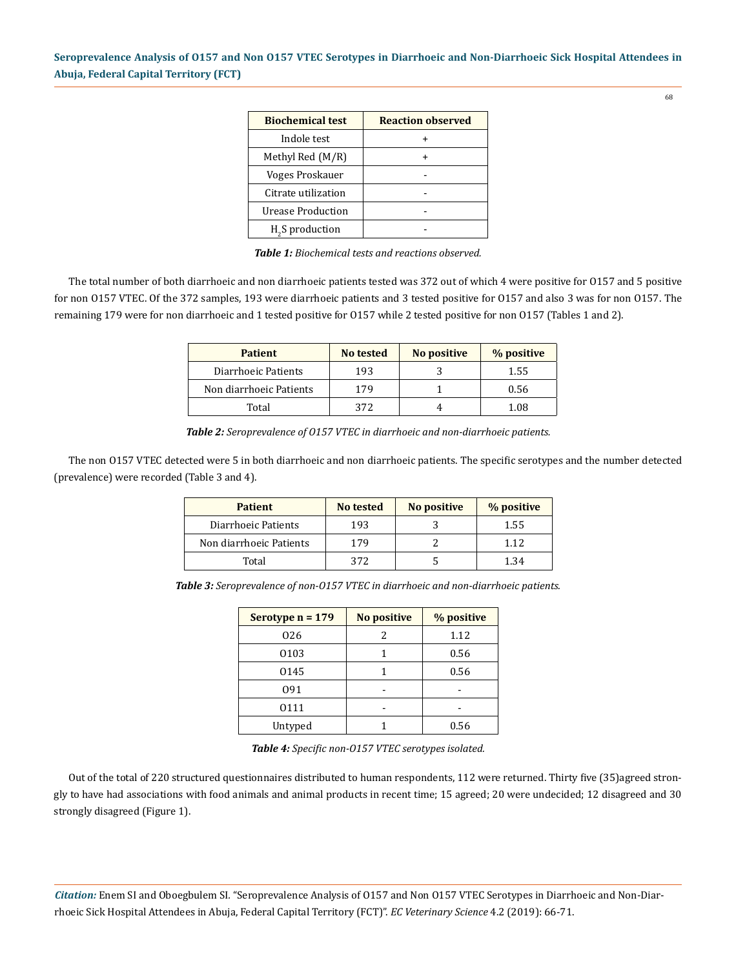| <b>Biochemical test</b> | <b>Reaction observed</b> |
|-------------------------|--------------------------|
| Indole test             |                          |
| Methyl Red $(M/R)$      |                          |
| Voges Proskauer         |                          |
| Citrate utilization     |                          |
| Urease Production       |                          |
| $H2S$ production        |                          |

*Table 1: Biochemical tests and reactions observed.*

The total number of both diarrhoeic and non diarrhoeic patients tested was 372 out of which 4 were positive for O157 and 5 positive for non O157 VTEC. Of the 372 samples, 193 were diarrhoeic patients and 3 tested positive for O157 and also 3 was for non O157. The remaining 179 were for non diarrhoeic and 1 tested positive for O157 while 2 tested positive for non O157 (Tables 1 and 2).

| <b>Patient</b>          | No tested | No positive | % positive |
|-------------------------|-----------|-------------|------------|
| Diarrhoeic Patients     | 193       |             | 1.55       |
| Non diarrhoeic Patients | 179       |             | 0.56       |
| Total                   | 372       |             | 1.08       |

*Table 2: Seroprevalence of O157 VTEC in diarrhoeic and non-diarrhoeic patients.*

The non O157 VTEC detected were 5 in both diarrhoeic and non diarrhoeic patients. The specific serotypes and the number detected (prevalence) were recorded (Table 3 and 4).

| <b>Patient</b>          | No tested | No positive | % positive |
|-------------------------|-----------|-------------|------------|
| Diarrhoeic Patients     | 193       |             | 1.55       |
| Non diarrhoeic Patients | 179       |             | 112        |
| Total                   | 372       |             | 1.34       |

*Table 3: Seroprevalence of non-O157 VTEC in diarrhoeic and non-diarrhoeic patients.*

| Serotype $n = 179$ | <b>No positive</b> | % positive |
|--------------------|--------------------|------------|
| 026                | 2                  | 1.12       |
| 0103               |                    | 0.56       |
| 0145               |                    | 0.56       |
| 091                |                    |            |
| 0111               |                    |            |
| Untyped            |                    | 0.56       |

*Table 4: Specific non-O157 VTEC serotypes isolated.*

Out of the total of 220 structured questionnaires distributed to human respondents, 112 were returned. Thirty five (35)agreed strongly to have had associations with food animals and animal products in recent time; 15 agreed; 20 were undecided; 12 disagreed and 30 strongly disagreed (Figure 1).

*Citation:* Enem SI and Oboegbulem SI*.* "Seroprevalence Analysis of O157 and Non O157 VTEC Serotypes in Diarrhoeic and Non-Diarrhoeic Sick Hospital Attendees in Abuja, Federal Capital Territory (FCT)". *EC Veterinary Science* 4.2 (2019): 66-71.

68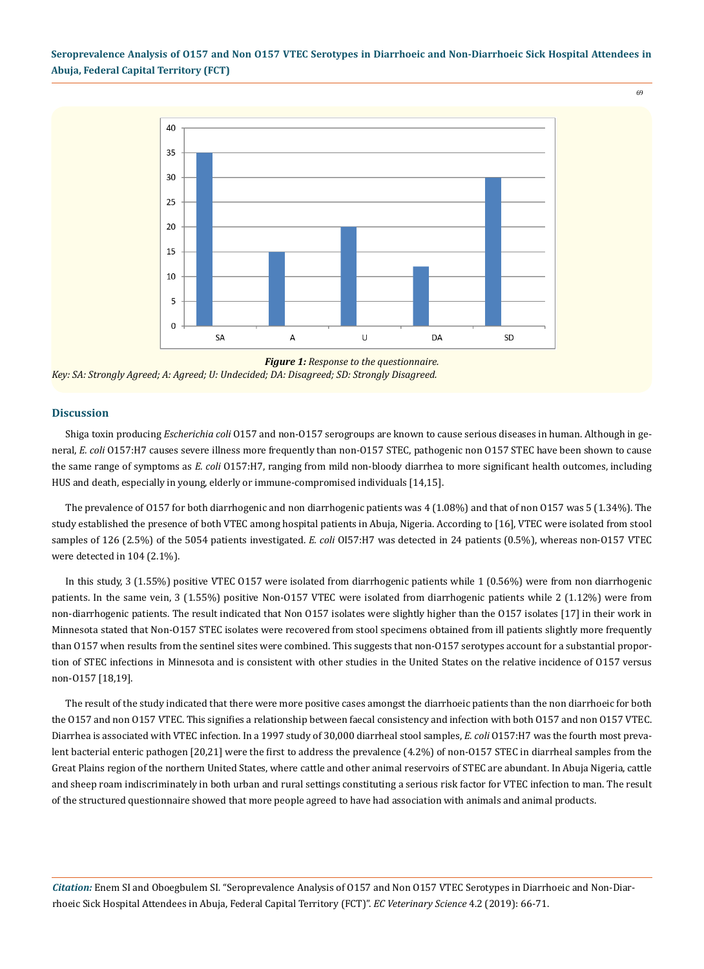69



*Figure 1: Response to the questionnaire. Key: SA: Strongly Agreed; A: Agreed; U: Undecided; DA: Disagreed; SD: Strongly Disagreed.*

## **Discussion**

Shiga toxin producing *Escherichia coli* O157 and non-O157 serogroups are known to cause serious diseases in human. Although in general, *E. coli* O157:H7 causes severe illness more frequently than non-O157 STEC, pathogenic non O157 STEC have been shown to cause the same range of symptoms as *E. coli* O157:H7, ranging from mild non-bloody diarrhea to more significant health outcomes, including HUS and death, especially in young, elderly or immune-compromised individuals [14,15].

The prevalence of O157 for both diarrhogenic and non diarrhogenic patients was 4 (1.08%) and that of non O157 was 5 (1.34%). The study established the presence of both VTEC among hospital patients in Abuja, Nigeria. According to [16], VTEC were isolated from stool samples of 126 (2.5%) of the 5054 patients investigated. *E. coli* OI57:H7 was detected in 24 patients (0.5%), whereas non-O157 VTEC were detected in 104 (2.1%).

In this study, 3 (1.55%) positive VTEC O157 were isolated from diarrhogenic patients while 1 (0.56%) were from non diarrhogenic patients. In the same vein, 3 (1.55%) positive Non-O157 VTEC were isolated from diarrhogenic patients while 2 (1.12%) were from non-diarrhogenic patients. The result indicated that Non O157 isolates were slightly higher than the O157 isolates [17] in their work in Minnesota stated that Non-O157 STEC isolates were recovered from stool specimens obtained from ill patients slightly more frequently than O157 when results from the sentinel sites were combined. This suggests that non-O157 serotypes account for a substantial proportion of STEC infections in Minnesota and is consistent with other studies in the United States on the relative incidence of O157 versus non-O157 [18,19].

The result of the study indicated that there were more positive cases amongst the diarrhoeic patients than the non diarrhoeic for both the O157 and non O157 VTEC. This signifies a relationship between faecal consistency and infection with both O157 and non O157 VTEC. Diarrhea is associated with VTEC infection. In a 1997 study of 30,000 diarrheal stool samples, *E. coli* O157:H7 was the fourth most prevalent bacterial enteric pathogen [20,21] were the first to address the prevalence (4.2%) of non-O157 STEC in diarrheal samples from the Great Plains region of the northern United States, where cattle and other animal reservoirs of STEC are abundant. In Abuja Nigeria, cattle and sheep roam indiscriminately in both urban and rural settings constituting a serious risk factor for VTEC infection to man. The result of the structured questionnaire showed that more people agreed to have had association with animals and animal products.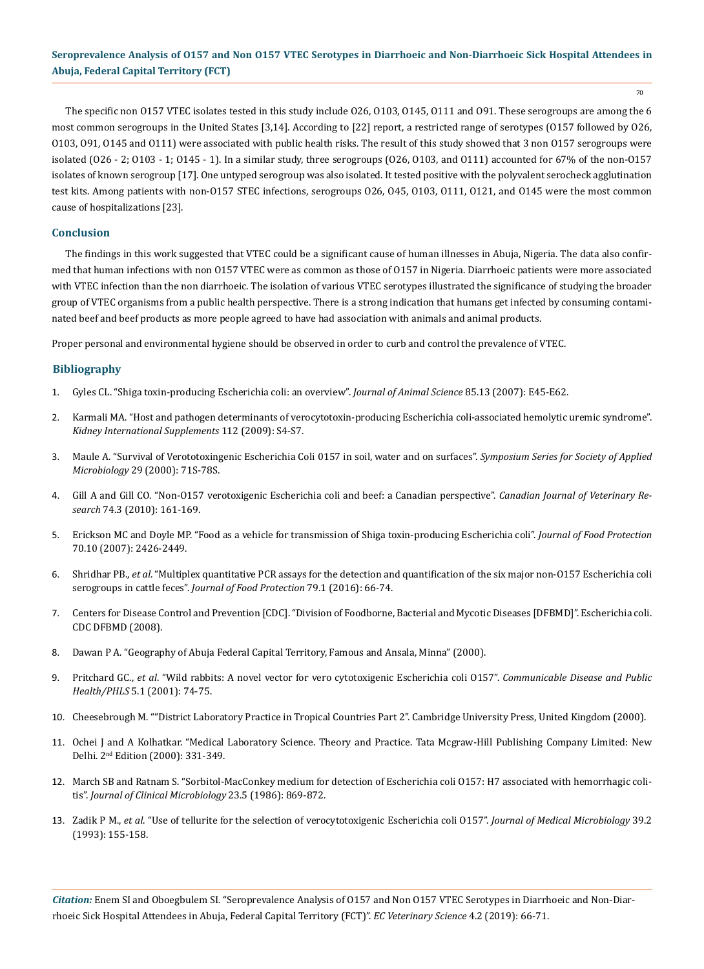70

The specific non O157 VTEC isolates tested in this study include O26, O103, O145, O111 and O91. These serogroups are among the 6 most common serogroups in the United States [3,14]. According to [22] report, a restricted range of serotypes (O157 followed by O26, O103, O91, O145 and O111) were associated with public health risks. The result of this study showed that 3 non O157 serogroups were isolated (O26 - 2; O103 - 1; O145 - 1). In a similar study, three serogroups (O26, O103, and O111) accounted for 67% of the non-O157 isolates of known serogroup [17]. One untyped serogroup was also isolated. It tested positive with the polyvalent serocheck agglutination test kits. Among patients with non-O157 STEC infections, serogroups O26, O45, O103, O111, O121, and O145 were the most common cause of hospitalizations [23].

## **Conclusion**

The findings in this work suggested that VTEC could be a significant cause of human illnesses in Abuja, Nigeria. The data also confirmed that human infections with non O157 VTEC were as common as those of O157 in Nigeria. Diarrhoeic patients were more associated with VTEC infection than the non diarrhoeic. The isolation of various VTEC serotypes illustrated the significance of studying the broader group of VTEC organisms from a public health perspective. There is a strong indication that humans get infected by consuming contaminated beef and beef products as more people agreed to have had association with animals and animal products.

Proper personal and environmental hygiene should be observed in order to curb and control the prevalence of VTEC.

## **Bibliography**

- 1. [Gyles CL. "Shiga toxin-producing Escherichia coli: an overview".](https://www.ncbi.nlm.nih.gov/pubmed/17085726) *Journal of Animal Science* 85.13 (2007): E45-E62.
- 2. [Karmali MA. "Host and pathogen determinants of verocytotoxin-producing Escherichia coli-associated hemolytic uremic syndrome".](https://www.ncbi.nlm.nih.gov/pubmed/19180132) *[Kidney International Supplements](https://www.ncbi.nlm.nih.gov/pubmed/19180132)* 112 (2009): S4-S7.
- 3. [Maule A. "Survival of Verototoxingenic Escherichia Coli 0157 in soil, water and on surfaces".](https://www.ncbi.nlm.nih.gov/pubmed/10880181) *Symposium Series for Society of Applied Microbiology* [29 \(2000\): 71S-78S.](https://www.ncbi.nlm.nih.gov/pubmed/10880181)
- 4. [Gill A and Gill CO. "Non-O157 verotoxigenic Escherichia coli and beef: a Canadian perspective".](https://www.ncbi.nlm.nih.gov/pmc/articles/PMC2896796/) *Canadian Journal of Veterinary Research* [74.3 \(2010\): 161-169.](https://www.ncbi.nlm.nih.gov/pmc/articles/PMC2896796/)
- 5. [Erickson MC and Doyle MP. "Food as a vehicle for transmission of Shiga toxin-producing Escherichia coli".](https://www.ncbi.nlm.nih.gov/pubmed/17969631) *Journal of Food Protection*  [70.10 \(2007\): 2426-2449.](https://www.ncbi.nlm.nih.gov/pubmed/17969631)
- 6. Shridhar PB., *et al*[. "Multiplex quantitative PCR assays for the detection and quantification of the six major non-O157 Escherichia coli](https://www.ncbi.nlm.nih.gov/pubmed/26735031) serogroups in cattle feces". *[Journal of Food Protection](https://www.ncbi.nlm.nih.gov/pubmed/26735031)* 79.1 (2016): 66-74.
- 7. [Centers for Disease Control and Prevention \[CDC\]. "Division of Foodborne, Bacterial and Mycotic Diseases \[DFBMD\]". Escherichia coli.](http://www.cdc.gov/nczved/dfbmd/disease_listing/stec_gi.html) [CDC DFBMD \(2008\).](http://www.cdc.gov/nczved/dfbmd/disease_listing/stec_gi.html)
- 8. Dawan P A. "Geography of Abuja Federal Capital Territory, Famous and Ansala, Minna" (2000).
- 9. Pritchard GC., *et al*[. "Wild rabbits: A novel vector for vero cytotoxigenic Escherichia coli O157".](https://www.researchgate.net/publication/11303731_Wild_rabbits--a_novel_vector_for_Vero_cytotoxigenic_Escherichia_coli_VTEC_O157) *Communicable Disease and Public Health/PHLS* [5.1 \(2001\): 74-75.](https://www.researchgate.net/publication/11303731_Wild_rabbits--a_novel_vector_for_Vero_cytotoxigenic_Escherichia_coli_VTEC_O157)
- 10. Cheesebrough M. ""District Laboratory Practice in Tropical Countries Part 2". Cambridge University Press, United Kingdom (2000).
- 11. Ochei J and A Kolhatkar. "Medical Laboratory Science. Theory and Practice. Tata Mcgraw-Hill Publishing Company Limited: New Delhi. 2nd Edition (2000): 331-349.
- 12. [March SB and Ratnam S. "Sorbitol-MacConkey medium for detection of Escherichia coli O157: H7 associated with hemorrhagic coli](https://www.ncbi.nlm.nih.gov/pmc/articles/PMC268739/)tis". *[Journal of Clinical Microbiology](https://www.ncbi.nlm.nih.gov/pmc/articles/PMC268739/)* 23.5 (1986): 869-872.
- 13. Zadik P M., *et al*[. "Use of tellurite for the selection of verocytotoxigenic Escherichia coli O157".](https://www.ncbi.nlm.nih.gov/pubmed/8345511) *Journal of Medical Microbiology* 39.2 [\(1993\): 155-158.](https://www.ncbi.nlm.nih.gov/pubmed/8345511)